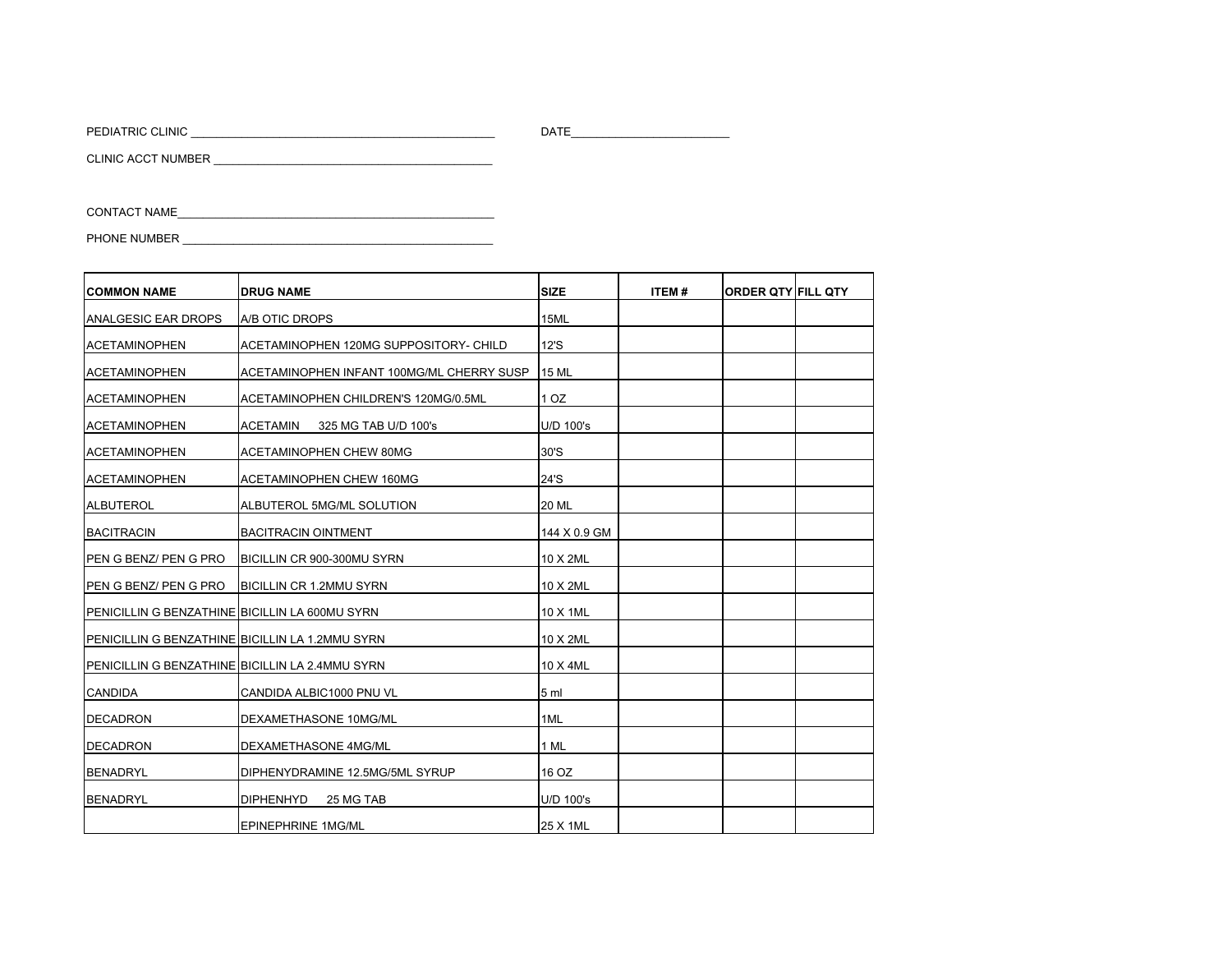PEDIATRIC CLINIC \_\_\_\_\_\_\_\_\_\_\_\_\_\_\_\_\_\_\_\_\_\_\_\_\_\_\_\_\_\_\_\_\_\_\_\_\_\_\_\_\_\_\_\_\_\_\_\_ DATE\_\_\_\_\_\_\_\_\_\_\_\_\_\_\_\_\_\_\_\_\_\_\_\_\_

CLINIC ACCT NUMBER \_\_\_\_\_\_\_\_\_\_\_\_\_\_\_\_\_\_\_\_\_\_\_\_\_\_\_\_\_\_\_\_\_\_\_\_\_\_\_\_\_\_\_\_

CONTACT NAME

PHONE NUMBER \_\_\_\_\_\_\_\_\_\_\_\_\_\_\_\_\_\_\_\_\_\_\_\_\_\_\_\_\_\_\_\_\_\_\_\_\_\_\_\_\_\_\_\_\_\_\_\_\_

| <b>ICOMMON NAME</b>                             | <b>DRUG NAME</b>                          | <b>SIZE</b>     | <b>ITEM#</b> | <b>ORDER QTY FILL QTY</b> |  |
|-------------------------------------------------|-------------------------------------------|-----------------|--------------|---------------------------|--|
| ANALGESIC EAR DROPS                             | A/B OTIC DROPS                            | 15ML            |              |                           |  |
| <b>ACETAMINOPHEN</b>                            | ACETAMINOPHEN 120MG SUPPOSITORY- CHILD    | 12'S            |              |                           |  |
| <b>ACETAMINOPHEN</b>                            | ACETAMINOPHEN INFANT 100MG/ML CHERRY SUSP | <b>15 ML</b>    |              |                           |  |
| <b>ACETAMINOPHEN</b>                            | ACETAMINOPHEN CHILDREN'S 120MG/0.5ML      | 10Z             |              |                           |  |
| <b>ACETAMINOPHEN</b>                            | <b>ACETAMIN</b><br>325 MG TAB U/D 100's   | U/D 100's       |              |                           |  |
| <b>ACETAMINOPHEN</b>                            | ACETAMINOPHEN CHEW 80MG                   | 30'S            |              |                           |  |
| <b>ACETAMINOPHEN</b>                            | <b>ACETAMINOPHEN CHEW 160MG</b>           | 24'S            |              |                           |  |
| <b>ALBUTEROL</b>                                | ALBUTEROL 5MG/ML SOLUTION                 | <b>20 ML</b>    |              |                           |  |
| <b>BACITRACIN</b>                               | <b>BACITRACIN OINTMENT</b>                | 144 X 0.9 GM    |              |                           |  |
| <b>IPEN G BENZ/ PEN G PRO</b>                   | BICILLIN CR 900-300MU SYRN                | 10 X 2ML        |              |                           |  |
| PEN G BENZ/ PEN G PRO                           | <b>BICILLIN CR 1.2MMU SYRN</b>            | 10 X 2ML        |              |                           |  |
| PENICILLIN G BENZATHINE BICILLIN LA 600MU SYRN  |                                           | 10 X 1ML        |              |                           |  |
| PENICILLIN G BENZATHINE BICILLIN LA 1.2MMU SYRN |                                           | 10 X 2ML        |              |                           |  |
| PENICILLIN G BENZATHINE BICILLIN LA 2.4MMU SYRN |                                           | 10 X 4ML        |              |                           |  |
| <b>CANDIDA</b>                                  | CANDIDA ALBIC1000 PNU VL                  | 5 <sub>ml</sub> |              |                           |  |
| DECADRON                                        | DEXAMETHASONE 10MG/ML                     | 1ML             |              |                           |  |
| <b>DECADRON</b>                                 | DEXAMETHASONE 4MG/ML                      | 1 ML            |              |                           |  |
| <b>BENADRYL</b>                                 | DIPHENYDRAMINE 12.5MG/5ML SYRUP           | 16 OZ           |              |                           |  |
| <b>BENADRYL</b>                                 | 25 MG TAB<br><b>DIPHENHYD</b>             | U/D 100's       |              |                           |  |
|                                                 | <b>EPINEPHRINE 1MG/ML</b>                 | 25 X 1ML        |              |                           |  |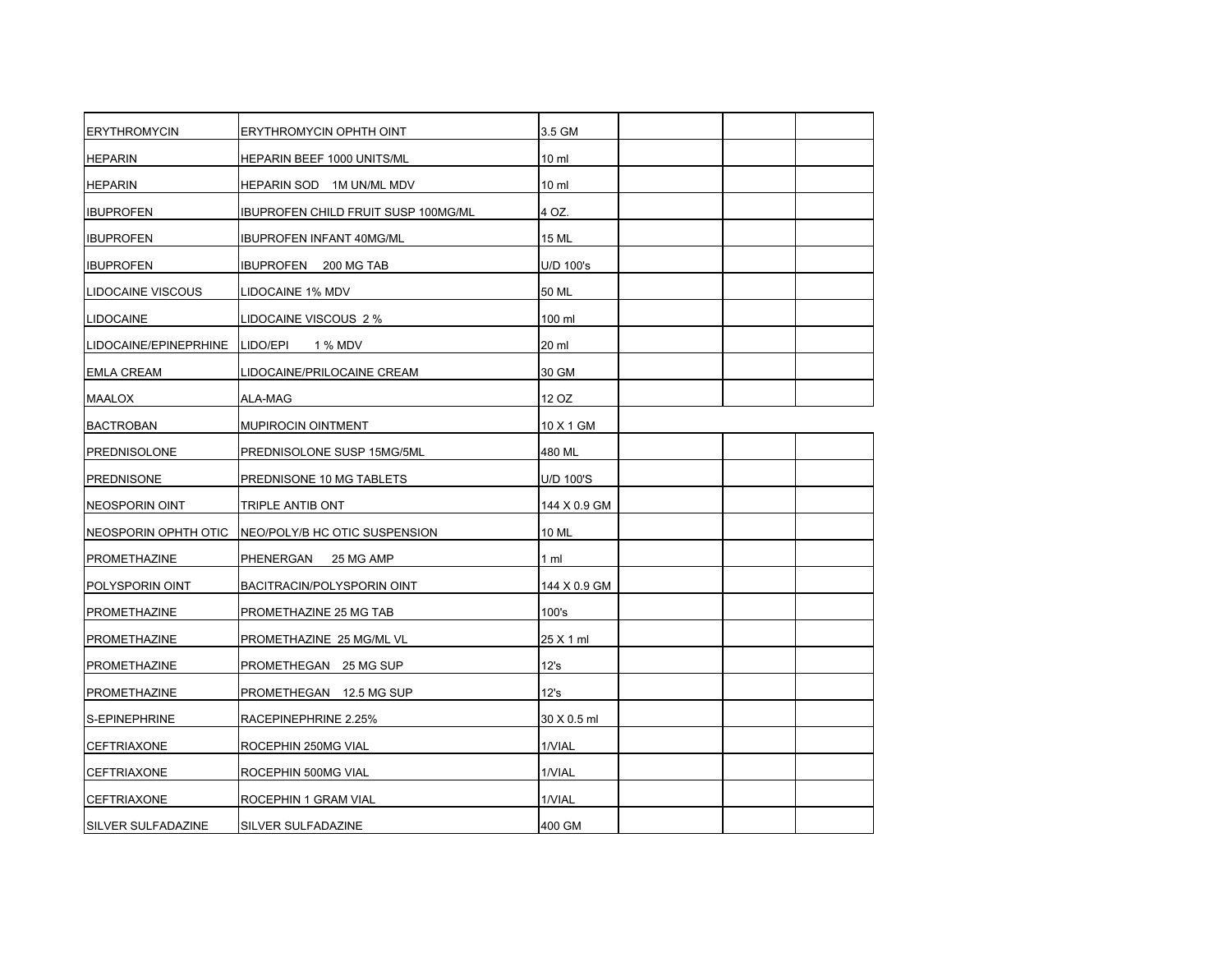| <b>ERYTHROMYCIN</b>       | ERYTHROMYCIN OPHTH OINT             | 3.5 GM          |  |
|---------------------------|-------------------------------------|-----------------|--|
| <b>HEPARIN</b>            | HEPARIN BEEF 1000 UNITS/ML          | 10 <sub>m</sub> |  |
| <b>HEPARIN</b>            | HEPARIN SOD 1M UN/ML MDV            | 10 <sub>m</sub> |  |
| <b>IBUPROFEN</b>          | IBUPROFEN CHILD FRUIT SUSP 100MG/ML | 4 OZ.           |  |
| <b>IBUPROFEN</b>          | <b>IBUPROFEN INFANT 40MG/ML</b>     | 15 ML           |  |
| <b>IBUPROFEN</b>          | IBUPROFEN 200 MG TAB                | U/D 100's       |  |
| <b>LIDOCAINE VISCOUS</b>  | LIDOCAINE 1% MDV                    | 50 ML           |  |
| <b>LIDOCAINE</b>          | LIDOCAINE VISCOUS 2 %               | 100 ml          |  |
| LIDOCAINE/EPINEPRHINE     | LIDO/EPI<br>1 % MDV                 | 20 ml           |  |
| <b>EMLA CREAM</b>         | LIDOCAINE/PRILOCAINE CREAM          | 30 GM           |  |
| <b>MAALOX</b>             | ALA-MAG                             | 12 OZ           |  |
| <b>BACTROBAN</b>          | MUPIROCIN OINTMENT                  | 10 X 1 GM       |  |
| <b>PREDNISOLONE</b>       | PREDNISOLONE SUSP 15MG/5ML          | 480 ML          |  |
| <b>PREDNISONE</b>         | PREDNISONE 10 MG TABLETS            | U/D 100'S       |  |
| NEOSPORIN OINT            | TRIPLE ANTIB ONT                    | 144 X 0.9 GM    |  |
| NEOSPORIN OPHTH OTIC      | NEO/POLY/B HC OTIC SUSPENSION       | 10 ML           |  |
| <b>PROMETHAZINE</b>       | PHENERGAN<br>25 MG AMP              | $1 \text{ ml}$  |  |
| POLYSPORIN OINT           | BACITRACIN/POLYSPORIN OINT          | 144 X 0.9 GM    |  |
| <b>PROMETHAZINE</b>       | PROMETHAZINE 25 MG TAB              | 100's           |  |
| <b>PROMETHAZINE</b>       | PROMETHAZINE 25 MG/ML VL            | 25 X 1 ml       |  |
| PROMETHAZINE              | PROMETHEGAN 25 MG SUP               | 12's            |  |
| <b>PROMETHAZINE</b>       | PROMETHEGAN 12.5 MG SUP             | 12's            |  |
| S-EPINEPHRINE             | RACEPINEPHRINE 2.25%                | 30 X 0.5 ml     |  |
| <b>CEFTRIAXONE</b>        | ROCEPHIN 250MG VIAL                 | 1/VIAL          |  |
| <b>CEFTRIAXONE</b>        | ROCEPHIN 500MG VIAL                 | 1/VIAL          |  |
| <b>CEFTRIAXONE</b>        | ROCEPHIN 1 GRAM VIAL                | 1/VIAL          |  |
| <b>SILVER SULFADAZINE</b> | SILVER SULFADAZINE                  | 400 GM          |  |